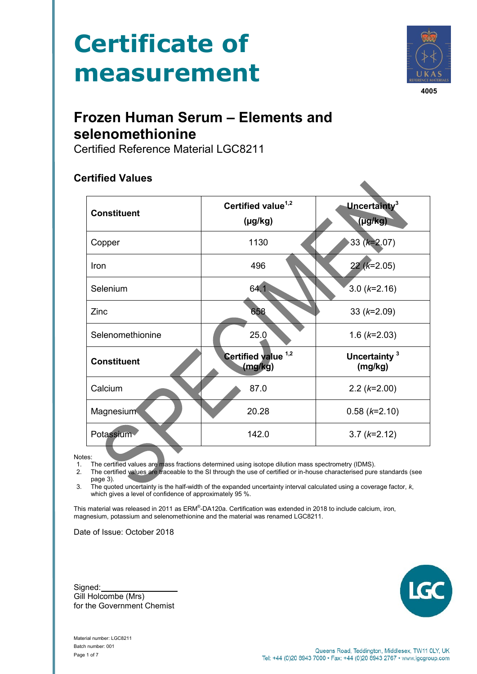# **Certificate of measurement**



**4005**

# **Frozen Human Serum – Elements and selenomethionine**

Certified Reference Material LGC8211

# **Certified Values**

| <b>Constituent</b> | Certified value <sup>1,2</sup> | Uncertainty <sup>3</sup>            |  |  |
|--------------------|--------------------------------|-------------------------------------|--|--|
|                    | $(\mu g/kg)$                   | $(\mu g/kg)$                        |  |  |
| Copper             | 1130                           | 33 ( $k=2.07$ )                     |  |  |
| Iron               | 496                            | $22(k=2.05)$                        |  |  |
| Selenium           | 64.1                           | $3.0 (k=2.16)$                      |  |  |
| Zinc               | 658                            | 33 $(k=2.09)$                       |  |  |
| Selenomethionine   | 25.0                           | 1.6 $(k=2.03)$                      |  |  |
| <b>Constituent</b> | Certified value 1,2<br>(mg/kg) | Uncertainty <sup>3</sup><br>(mg/kg) |  |  |
| Calcium            | 87.0                           | $2.2 (k=2.00)$                      |  |  |
| Magnesium          | 20.28<br>$0.58$ ( $k=2.10$ )   |                                     |  |  |
| Potassium          | 142.0<br>$3.7(k=2.12)$         |                                     |  |  |

Notes:

1. The certified values are mass fractions determined using isotope dilution mass spectrometry (IDMS).<br>2. The certified values are traceable to the SI through the use of certified or in-house characterised pure The certified values are traceable to the SI through the use of certified or in-house characterised pure standards (see page 3).

3. The quoted uncertainty is the half-width of the expanded uncertainty interval calculated using a coverage factor, *k*, which gives a level of confidence of approximately 95 %.

This material was released in 2011 as ERM®-DA120a. Certification was extended in 2018 to include calcium, iron, magnesium, potassium and selenomethionine and the material was renamed LGC8211.

Date of Issue: October 2018

Signed: Gill Holcombe (Mrs) for the Government Chemist



Material number: LGC8211 Batch number: 001 Page 1 of 7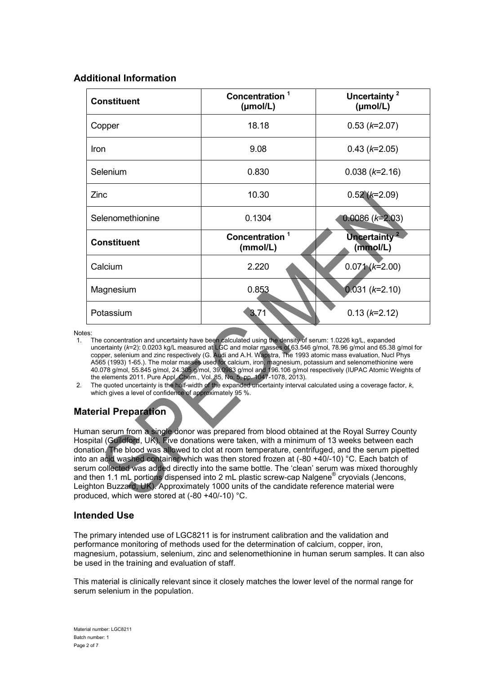# **Additional Information**

| <b>Constituent</b> | Concentration <sup>1</sup><br>$(\mu \text{mol/L})$ | Uncertainty <sup>2</sup><br>(mol/L)  |  |
|--------------------|----------------------------------------------------|--------------------------------------|--|
| Copper             | 18.18                                              | $0.53$ ( $k=2.07$ )                  |  |
| Iron               | 9.08                                               | $0.43$ ( $k=2.05$ )                  |  |
| Selenium           | 0.830                                              | $0.038$ ( $k=2.16$ )                 |  |
| Zinc               | 10.30                                              | $0.52(k=2.09)$                       |  |
| Selenomethionine   | 0.1304                                             | $0.0086$ ( $k=2.03$ )                |  |
| <b>Constituent</b> | Concentration <sup>1</sup><br>(mmol/L)             | Uncertainty <sup>2</sup><br>(mmol/L) |  |
| Calcium            | 2.220                                              | $0.071(k=2.00)$                      |  |
| Magnesium          | 0.853                                              | $0.031 (k=2.10)$                     |  |
| Potassium          | 3.71                                               | $0.13 (k=2.12)$                      |  |

Notes:

- 1. The concentration and uncertainty have been calculated using the density of serum: 1.0226 kg/L, expanded uncertainty (*k*=2): 0.0203 kg/L measured at LGC and molar masses of 63.546 g/mol, 78.96 g/mol and 65.38 g/mol for copper, selenium and zinc respectively (G. Audi and A.H. Wapstra, The 1993 atomic mass evaluation, Nucl Phys A565 (1993) 1-65.). The molar masses used for calcium, iron, magnesium, potassium and selenomethionine were 40.078 g/mol, 55.845 g/mol, 24.305 g/mol, 39.0983 g/mol and 196.106 g/mol respectively (IUPAC Atomic Weights of the elements 2011. Pure Appl. Chem., Vol. 85, No. 5, pp. 1047-1078, 2013).
- 2. The quoted uncertainty is the half-width of the expanded uncertainty interval calculated using a coverage factor, *k*, which gives a level of confidence of approximately 95 %.

# **Material Preparation**

Human serum from a single donor was prepared from blood obtained at the Royal Surrey County Hospital (Guildford, UK). Five donations were taken, with a minimum of 13 weeks between each donation. The blood was allowed to clot at room temperature, centrifuged, and the serum pipetted into an acid washed container which was then stored frozen at (-80 +40/-10) °C. Each batch of serum collected was added directly into the same bottle. The 'clean' serum was mixed thoroughly and then 1.1 mL portions dispensed into 2 mL plastic screw-cap Nalgene® cryovials (Jencons, Leighton Buzzard, UK). Approximately 1000 units of the candidate reference material were produced, which were stored at (-80 +40/-10) °C.

# **Intended Use**

The primary intended use of LGC8211 is for instrument calibration and the validation and performance monitoring of methods used for the determination of calcium, copper, iron, magnesium, potassium, selenium, zinc and selenomethionine in human serum samples. It can also be used in the training and evaluation of staff.

This material is clinically relevant since it closely matches the lower level of the normal range for serum selenium in the population.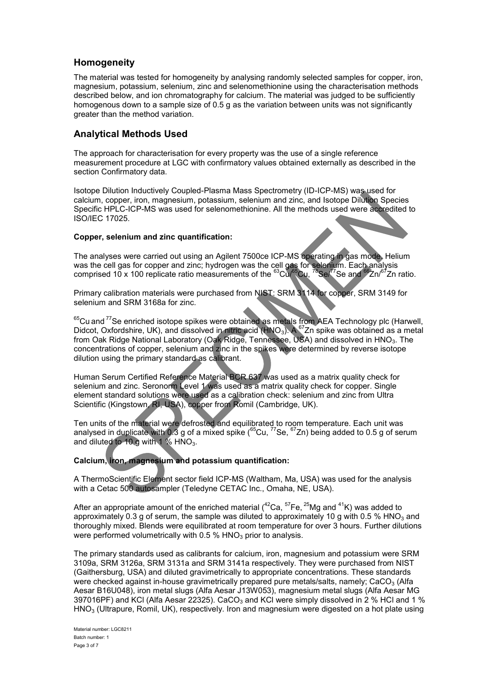## **Homogeneity**

The material was tested for homogeneity by analysing randomly selected samples for copper, iron, magnesium, potassium, selenium, zinc and selenomethionine using the characterisation methods described below, and ion chromatography for calcium. The material was judged to be sufficiently homogenous down to a sample size of 0.5 g as the variation between units was not significantly greater than the method variation.

# **Analytical Methods Used**

The approach for characterisation for every property was the use of a single reference measurement procedure at LGC with confirmatory values obtained externally as described in the section Confirmatory data.

Isotope Dilution Inductively Coupled-Plasma Mass Spectrometry (ID-ICP-MS) was used for calcium, copper, iron, magnesium, potassium, selenium and zinc, and Isotope Dilution Species Specific HPLC-ICP-MS was used for selenomethionine. All the methods used were accredited to ISO/IEC 17025.

#### **Copper, selenium and zinc quantification:**

The analyses were carried out using an Agilent 7500ce ICP-MS operating in gas mode. Helium was the cell gas for copper and zinc; hydrogen was the cell gas for selenium. Each analysis comprised 10 x 100 replicate ratio measurements of the  ${}^{63}$ Cu, ${}^{65}$ Cu, ${}^{78}$ Se, ${}^{77}$ Se and  ${}^{66}$ Zn/ ${}^{67}$ Zn ratio.

Primary calibration materials were purchased from NIST: SRM 3114 for copper, SRM 3149 for selenium and SRM 3168a for zinc.

 $65$ Cu and  $77$ Se enriched isotope spikes were obtained as metals from AEA Technology plc (Harwell, Didcot, Oxfordshire, UK), and dissolved in nitric acid (HNO<sub>3</sub>). A <sup>67</sup>Zn spike was obtained as a metal from Oak Ridge National Laboratory (Oak Ridge, Tennessee, USA) and dissolved in HNO<sub>3</sub>. The concentrations of copper, selenium and zinc in the spikes were determined by reverse isotope dilution using the primary standard as calibrant.

Human Serum Certified Reference Material BCR 637 was used as a matrix quality check for selenium and zinc. Seronorm Level 1 was used as a matrix quality check for copper. Single element standard solutions were used as a calibration check: selenium and zinc from Ultra Scientific (Kingstown, RI, USA), copper from Romil (Cambridge, UK).

Ten units of the material were defrosted and equilibrated to room temperature. Each unit was analysed in duplicate with 0.3 g of a mixed spike  $(^{65}$ Cu,  $^{77}$ Se,  $^{67}$ Zn) being added to 0.5 g of serum and diluted to 10 g with 1 %  $HNO<sub>3</sub>$ .

#### **Calcium, iron, magnesium and potassium quantification:**

A ThermoScientific Element sector field ICP-MS (Waltham, Ma, USA) was used for the analysis with a Cetac 500 autosampler (Teledyne CETAC Inc., Omaha, NE, USA).

After an appropriate amount of the enriched material ( $42$ Ca,  $57$ Fe,  $25$ Mg and  $41$ K) was added to approximately 0.3 g of serum, the sample was diluted to approximately 10 g with 0.5 % HNO<sub>3</sub> and thoroughly mixed. Blends were equilibrated at room temperature for over 3 hours. Further dilutions were performed volumetrically with 0.5 %  $HNO<sub>3</sub>$  prior to analysis.

The primary standards used as calibrants for calcium, iron, magnesium and potassium were SRM 3109a, SRM 3126a, SRM 3131a and SRM 3141a respectively. They were purchased from NIST (Gaithersburg, USA) and diluted gravimetrically to appropriate concentrations. These standards were checked against in-house gravimetrically prepared pure metals/salts, namely;  $CaCO<sub>3</sub>$  (Alfa Aesar B16U048), iron metal slugs (Alfa Aesar J13W053), magnesium metal slugs (Alfa Aesar MG 397016PF) and KCl (Alfa Aesar 22325). CaCO<sub>3</sub> and KCl were simply dissolved in 2 % HCl and 1 %  $HNO<sub>3</sub>$  (Ultrapure, Romil, UK), respectively. Iron and magnesium were digested on a hot plate using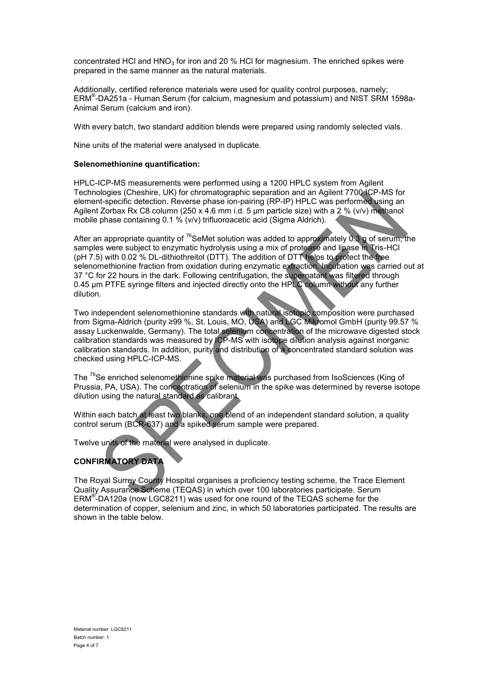concentrated HCl and  $HNO<sub>3</sub>$  for iron and 20 % HCl for magnesium. The enriched spikes were prepared in the same manner as the natural materials.

Additionally, certified reference materials were used for quality control purposes, namely; ERM® -DA251a - Human Serum (for calcium, magnesium and potassium) and NIST SRM 1598a-Animal Serum (calcium and iron).

With every batch, two standard addition blends were prepared using randomly selected vials.

Nine units of the material were analysed in duplicate.

#### **Selenomethionine quantification:**

HPLC-ICP-MS measurements were performed using a 1200 HPLC system from Agilent Technologies (Cheshire, UK) for chromatographic separation and an Agilent 7700 ICP-MS for element-specific detection. Reverse phase ion-pairing (RP-IP) HPLC was performed using an Agilent Zorbax Rx C8 column (250 x 4.6 mm i.d. 5 μm particle size) with a 2 % (v/v) methanol mobile phase containing 0.1 % (v/v) trifluoroacetic acid (Sigma Aldrich).

After an appropriate quantity of <sup>76</sup>SeMet solution was added to approximately 0.3 g of serum, the samples were subject to enzymatic hydrolysis using a mix of protease and lipase in Tris-HCl (pH 7.5) with 0.02 % DL-dithiothreitol (DTT). The addition of DTT helps to protect the free selenomethionine fraction from oxidation during enzymatic extraction. Incubation was carried out at 37 °C for 22 hours in the dark. Following centrifugation, the supernatant was filtered through 0.45 μm PTFE syringe filters and injected directly onto the HPLC column without any further dilution.

Two independent selenomethionine standards with natural isotopic composition were purchased from Sigma-Aldrich (purity ≥99 %, St. Louis, MO, USA) and LGC Mikromol GmbH (purity 99.57 % assay Luckenwalde, Germany). The total selenium concentration of the microwave digested stock calibration standards was measured by ICP-MS with isotope dilution analysis against inorganic calibration standards. In addition, purity and distribution of a concentrated standard solution was checked using HPLC-ICP-MS.

The <sup>76</sup>Se enriched selenomethionine spike material was purchased from IsoSciences (King of Prussia, PA, USA). The concentration of selenium in the spike was determined by reverse isotope dilution using the natural standard as calibrant.

Within each batch at least two blanks, one blend of an independent standard solution, a quality control serum (BCR-637) and a spiked serum sample were prepared.

Twelve units of the material were analysed in duplicate.

# **CONFIRMATORY DATA**

The Royal Surrey County Hospital organises a proficiency testing scheme, the Trace Element Quality Assurance Scheme (TEQAS) in which over 100 laboratories participate. Serum ERM<sup>®</sup>-DA120a (now LGC8211) was used for one round of the TEQAS scheme for the determination of copper, selenium and zinc, in which 50 laboratories participated. The results are shown in the table below.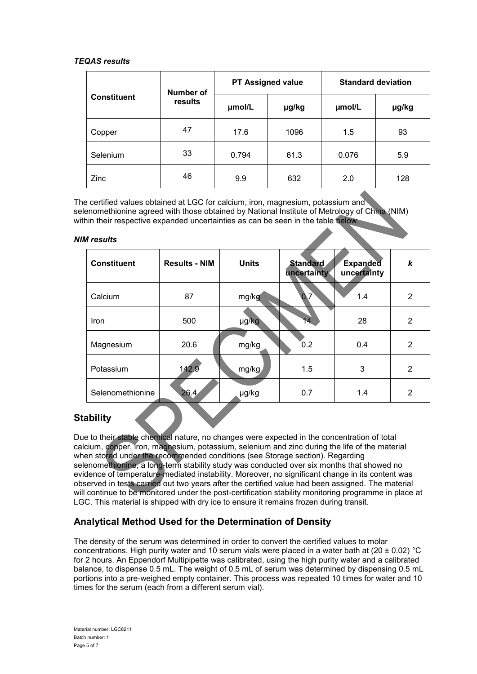#### *TEQAS results*

| <b>Constituent</b> | Number of<br>results | <b>PT Assigned value</b> |       | <b>Standard deviation</b> |       |
|--------------------|----------------------|--------------------------|-------|---------------------------|-------|
|                    |                      | umol/L                   | µg/kg | umol/L                    | µg/kg |
| Copper             | 47                   | 17.6                     | 1096  | 1.5                       | 93    |
| Selenium           | 33                   | 0.794                    | 61.3  | 0.076                     | 5.9   |
| Zinc               | 46                   | 9.9                      | 632   | 2.0                       | 128   |

The certified values obtained at LGC for calcium, iron, magnesium, potassium and selenomethionine agreed with those obtained by National Institute of Metrology of China (NIM) within their respective expanded uncertainties as can be seen in the table below.

#### *NIM results*

| <b>Constituent</b> | <b>Results - NIM</b> | <b>Units</b> | <b>Standard</b><br>uncertainty | <b>Expanded</b><br>uncertainty | k              |
|--------------------|----------------------|--------------|--------------------------------|--------------------------------|----------------|
| Calcium            | 87                   | mg/kg        | 0.7                            | 1.4                            | $\overline{2}$ |
| Iron               | 500                  | µg/kg        | 14                             | 28                             | $\overline{2}$ |
| Magnesium          | 20.6                 | mg/kg        | 0.2                            | 0.4                            | $\overline{2}$ |
| Potassium          | 142.9                | mg/kg        | 1.5                            | 3                              | 2              |
| Selenomethionine   | 26.4                 | µg/kg        | 0.7                            | 1.4                            | 2              |

# **Stability**

Due to their stable chemical nature, no changes were expected in the concentration of total calcium, copper, iron, magnesium, potassium, selenium and zinc during the life of the material when stored under the recommended conditions (see Storage section). Regarding selenomethionine, a long-term stability study was conducted over six months that showed no evidence of temperature-mediated instability. Moreover, no significant change in its content was observed in tests carried out two years after the certified value had been assigned. The material will continue to be monitored under the post-certification stability monitoring programme in place at LGC. This material is shipped with dry ice to ensure it remains frozen during transit.

# **Analytical Method Used for the Determination of Density**

The density of the serum was determined in order to convert the certified values to molar concentrations. High purity water and 10 serum vials were placed in a water bath at ( $20 \pm 0.02$ ) °C for 2 hours. An Eppendorf Multipipette was calibrated, using the high purity water and a calibrated balance, to dispense 0.5 mL. The weight of 0.5 mL of serum was determined by dispensing 0.5 mL portions into a pre-weighed empty container. This process was repeated 10 times for water and 10 times for the serum (each from a different serum vial).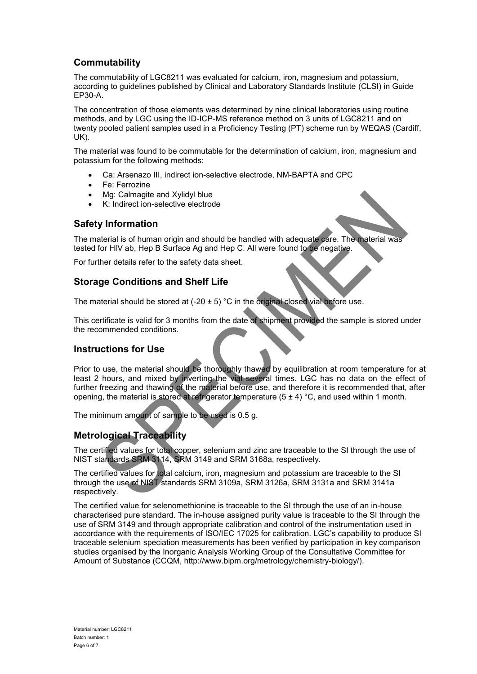# **Commutability**

The commutability of LGC8211 was evaluated for calcium, iron, magnesium and potassium, according to guidelines published by Clinical and Laboratory Standards Institute (CLSI) in Guide EP30-A.

The concentration of those elements was determined by nine clinical laboratories using routine methods, and by LGC using the ID-ICP-MS reference method on 3 units of LGC8211 and on twenty pooled patient samples used in a Proficiency Testing (PT) scheme run by WEQAS (Cardiff, UK).

The material was found to be commutable for the determination of calcium, iron, magnesium and potassium for the following methods:

- Ca: Arsenazo III, indirect ion-selective electrode, NM-BAPTA and CPC
- Fe: Ferrozine
- Mg: Calmagite and Xylidyl blue
- K: Indirect ion-selective electrode

## **Safety Information**

The material is of human origin and should be handled with adequate care. The material was tested for HIV ab, Hep B Surface Ag and Hep C. All were found to be negative.

For further details refer to the safety data sheet.

# **Storage Conditions and Shelf Life**

The material should be stored at  $(-20 \pm 5)$  °C in the original closed vial before use.

This certificate is valid for 3 months from the date of shipment provided the sample is stored under the recommended conditions.

#### **Instructions for Use**

Prior to use, the material should be thoroughly thawed by equilibration at room temperature for at least 2 hours, and mixed by inverting the vial several times. LGC has no data on the effect of further freezing and thawing of the material before use, and therefore it is recommended that, after opening, the material is stored at refrigerator temperature  $(5 \pm 4)$  °C, and used within 1 month.

The minimum amount of sample to be used is 0.5 g.

# **Metrological Traceability**

The certified values for total copper, selenium and zinc are traceable to the SI through the use of NIST standards SRM 3114, SRM 3149 and SRM 3168a, respectively.

The certified values for total calcium, iron, magnesium and potassium are traceable to the SI through the use of NIST standards SRM 3109a, SRM 3126a, SRM 3131a and SRM 3141a respectively.

The certified value for selenomethionine is traceable to the SI through the use of an in-house characterised pure standard. The in-house assigned purity value is traceable to the SI through the use of SRM 3149 and through appropriate calibration and control of the instrumentation used in accordance with the requirements of ISO/IEC 17025 for calibration. LGC's capability to produce SI traceable selenium speciation measurements has been verified by participation in key comparison studies organised by the Inorganic Analysis Working Group of the Consultative Committee for Amount of Substance (CCQM, http://www.bipm.org/metrology/chemistry-biology/).